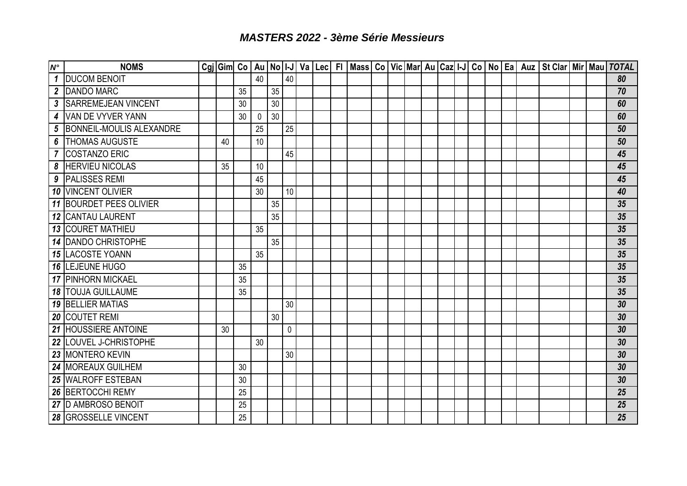## *MASTERS 2022 - 3ème Série Messieurs*

| $N^{\circ}$ | <b>NOMS</b>                    |    |    |          |    |             |  |  |  |  |  |  |  |  | Cgi Gim  Co   Au   No   I-J   Va   Lec   FI   Mass   Co   Vic   Mar   Au   Caz   I-J   Co   No   Ea   Auz   St Clar   Mir   Mau   TOTAL |
|-------------|--------------------------------|----|----|----------|----|-------------|--|--|--|--|--|--|--|--|-----------------------------------------------------------------------------------------------------------------------------------------|
|             | 1 DUCOM BENOIT                 |    |    | 40       |    | 40          |  |  |  |  |  |  |  |  | 80                                                                                                                                      |
|             | 2 DANDO MARC                   |    | 35 |          | 35 |             |  |  |  |  |  |  |  |  | 70                                                                                                                                      |
| 3           | <b>SARREMEJEAN VINCENT</b>     |    | 30 |          | 30 |             |  |  |  |  |  |  |  |  | 60                                                                                                                                      |
|             | 4 VAN DE VYVER YANN            |    | 30 | $\Omega$ | 30 |             |  |  |  |  |  |  |  |  | 60                                                                                                                                      |
| 5           | BONNEIL-MOULIS ALEXANDRE       |    |    | 25       |    | 25          |  |  |  |  |  |  |  |  | 50                                                                                                                                      |
|             | <b>6   THOMAS AUGUSTE</b>      | 40 |    | 10       |    |             |  |  |  |  |  |  |  |  | 50                                                                                                                                      |
|             | 7 COSTANZO ERIC                |    |    |          |    | 45          |  |  |  |  |  |  |  |  | 45                                                                                                                                      |
|             | <b>8 HERVIEU NICOLAS</b>       | 35 |    | 10       |    |             |  |  |  |  |  |  |  |  | 45                                                                                                                                      |
|             | 9   PALISSES REMI              |    |    | 45       |    |             |  |  |  |  |  |  |  |  | 45                                                                                                                                      |
|             | 10 VINCENT OLIVIER             |    |    | 30       |    | 10          |  |  |  |  |  |  |  |  | 40                                                                                                                                      |
|             | <b>11 BOURDET PEES OLIVIER</b> |    |    |          | 35 |             |  |  |  |  |  |  |  |  | 35                                                                                                                                      |
|             | <b>12 CANTAU LAURENT</b>       |    |    |          | 35 |             |  |  |  |  |  |  |  |  | 35                                                                                                                                      |
|             | <b>13 COURET MATHIEU</b>       |    |    | 35       |    |             |  |  |  |  |  |  |  |  | 35                                                                                                                                      |
|             | 14 DANDO CHRISTOPHE            |    |    |          | 35 |             |  |  |  |  |  |  |  |  | 35                                                                                                                                      |
|             | <b>15 LACOSTE YOANN</b>        |    |    | 35       |    |             |  |  |  |  |  |  |  |  | 35                                                                                                                                      |
|             | <b>16 LEJEUNE HUGO</b>         |    | 35 |          |    |             |  |  |  |  |  |  |  |  | 35                                                                                                                                      |
|             | 17 PINHORN MICKAEL             |    | 35 |          |    |             |  |  |  |  |  |  |  |  | 35                                                                                                                                      |
|             | <b>18 TOUJA GUILLAUME</b>      |    | 35 |          |    |             |  |  |  |  |  |  |  |  | 35                                                                                                                                      |
|             | <b>19 BELLIER MATIAS</b>       |    |    |          |    | 30          |  |  |  |  |  |  |  |  | 30                                                                                                                                      |
|             | 20 COUTET REMI                 |    |    |          | 30 |             |  |  |  |  |  |  |  |  | 30                                                                                                                                      |
|             | 21 HOUSSIERE ANTOINE           | 30 |    |          |    | $\mathbf 0$ |  |  |  |  |  |  |  |  | 30                                                                                                                                      |
|             | 22 LOUVEL J-CHRISTOPHE         |    |    | 30       |    |             |  |  |  |  |  |  |  |  | 30                                                                                                                                      |
|             | 23 MONTERO KEVIN               |    |    |          |    | 30          |  |  |  |  |  |  |  |  | 30                                                                                                                                      |
|             | 24   MOREAUX GUILHEM           |    | 30 |          |    |             |  |  |  |  |  |  |  |  | 30                                                                                                                                      |
|             | 25 WALROFF ESTEBAN             |    | 30 |          |    |             |  |  |  |  |  |  |  |  | 30                                                                                                                                      |
|             | 26 BERTOCCHI REMY              |    | 25 |          |    |             |  |  |  |  |  |  |  |  | 25                                                                                                                                      |
|             | 27 D AMBROSO BENOIT            |    | 25 |          |    |             |  |  |  |  |  |  |  |  | 25                                                                                                                                      |
|             | <b>28 GROSSELLE VINCENT</b>    |    | 25 |          |    |             |  |  |  |  |  |  |  |  | 25                                                                                                                                      |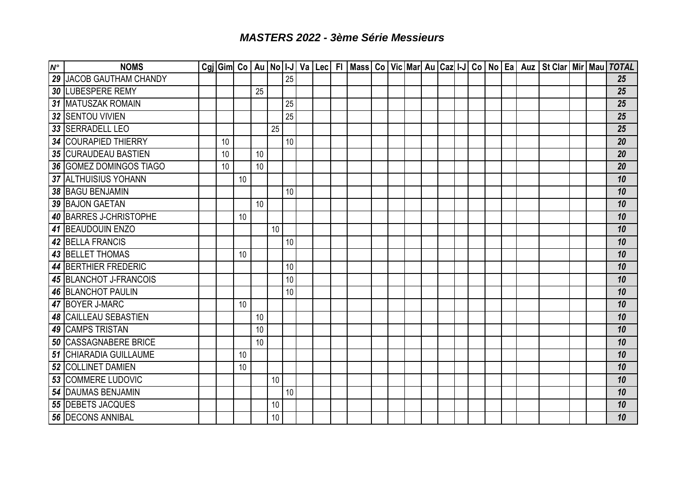## *MASTERS 2022 - 3ème Série Messieurs*

| $N^{\circ}$ | <b>NOMS</b>                    |    |    |    |                 |    |  |  |  |  |  |  |  | Cgj Gim Co   Au   No   I-J   Va   Lec   FI   Mass   Co   Vic   Mar   Au   Caz   I-J   Co   No   Ea   Auz   St Clar   Mir   Mau   TOTAL |  |    |
|-------------|--------------------------------|----|----|----|-----------------|----|--|--|--|--|--|--|--|----------------------------------------------------------------------------------------------------------------------------------------|--|----|
|             | <b>29 JACOB GAUTHAM CHANDY</b> |    |    |    |                 | 25 |  |  |  |  |  |  |  |                                                                                                                                        |  | 25 |
|             | <b>30 LUBESPERE REMY</b>       |    |    | 25 |                 |    |  |  |  |  |  |  |  |                                                                                                                                        |  | 25 |
|             | 31 MATUSZAK ROMAIN             |    |    |    |                 | 25 |  |  |  |  |  |  |  |                                                                                                                                        |  | 25 |
|             | 32 SENTOU VIVIEN               |    |    |    |                 | 25 |  |  |  |  |  |  |  |                                                                                                                                        |  | 25 |
|             | 33 SERRADELL LEO               |    |    |    | 25              |    |  |  |  |  |  |  |  |                                                                                                                                        |  | 25 |
|             | 34 COURAPIED THIERRY           | 10 |    |    |                 | 10 |  |  |  |  |  |  |  |                                                                                                                                        |  | 20 |
|             | 35 CURAUDEAU BASTIEN           | 10 |    | 10 |                 |    |  |  |  |  |  |  |  |                                                                                                                                        |  | 20 |
|             | <b>36 GOMEZ DOMINGOS TIAGO</b> | 10 |    | 10 |                 |    |  |  |  |  |  |  |  |                                                                                                                                        |  | 20 |
|             | 37 ALTHUISIUS YOHANN           |    | 10 |    |                 |    |  |  |  |  |  |  |  |                                                                                                                                        |  | 10 |
|             | 38 BAGU BENJAMIN               |    |    |    |                 | 10 |  |  |  |  |  |  |  |                                                                                                                                        |  | 10 |
|             | 39 BAJON GAETAN                |    |    | 10 |                 |    |  |  |  |  |  |  |  |                                                                                                                                        |  | 10 |
|             | 40 BARRES J-CHRISTOPHE         |    | 10 |    |                 |    |  |  |  |  |  |  |  |                                                                                                                                        |  | 10 |
|             | 41 BEAUDOUIN ENZO              |    |    |    | 10              |    |  |  |  |  |  |  |  |                                                                                                                                        |  | 10 |
|             | 42 BELLA FRANCIS               |    |    |    |                 | 10 |  |  |  |  |  |  |  |                                                                                                                                        |  | 10 |
|             | <b>43 BELLET THOMAS</b>        |    | 10 |    |                 |    |  |  |  |  |  |  |  |                                                                                                                                        |  | 10 |
|             | <b>44 BERTHIER FREDERIC</b>    |    |    |    |                 | 10 |  |  |  |  |  |  |  |                                                                                                                                        |  | 10 |
|             | 45 BLANCHOT J-FRANCOIS         |    |    |    |                 | 10 |  |  |  |  |  |  |  |                                                                                                                                        |  | 10 |
|             | <b>46 BLANCHOT PAULIN</b>      |    |    |    |                 | 10 |  |  |  |  |  |  |  |                                                                                                                                        |  | 10 |
|             | 47 BOYER J-MARC                |    | 10 |    |                 |    |  |  |  |  |  |  |  |                                                                                                                                        |  | 10 |
|             | <b>48 CAILLEAU SEBASTIEN</b>   |    |    | 10 |                 |    |  |  |  |  |  |  |  |                                                                                                                                        |  | 10 |
|             | 49 CAMPS TRISTAN               |    |    | 10 |                 |    |  |  |  |  |  |  |  |                                                                                                                                        |  | 10 |
|             | <b>50 CASSAGNABERE BRICE</b>   |    |    | 10 |                 |    |  |  |  |  |  |  |  |                                                                                                                                        |  | 10 |
|             | <b>51 CHIARADIA GUILLAUME</b>  |    | 10 |    |                 |    |  |  |  |  |  |  |  |                                                                                                                                        |  | 10 |
|             | 52 COLLINET DAMIEN             |    | 10 |    |                 |    |  |  |  |  |  |  |  |                                                                                                                                        |  | 10 |
|             | <b>53 COMMERE LUDOVIC</b>      |    |    |    | 10              |    |  |  |  |  |  |  |  |                                                                                                                                        |  | 10 |
|             | 54 DAUMAS BENJAMIN             |    |    |    |                 | 10 |  |  |  |  |  |  |  |                                                                                                                                        |  | 10 |
|             | 55 DEBETS JACQUES              |    |    |    | 10              |    |  |  |  |  |  |  |  |                                                                                                                                        |  | 10 |
|             | <b>56 DECONS ANNIBAL</b>       |    |    |    | 10 <sup>°</sup> |    |  |  |  |  |  |  |  |                                                                                                                                        |  | 10 |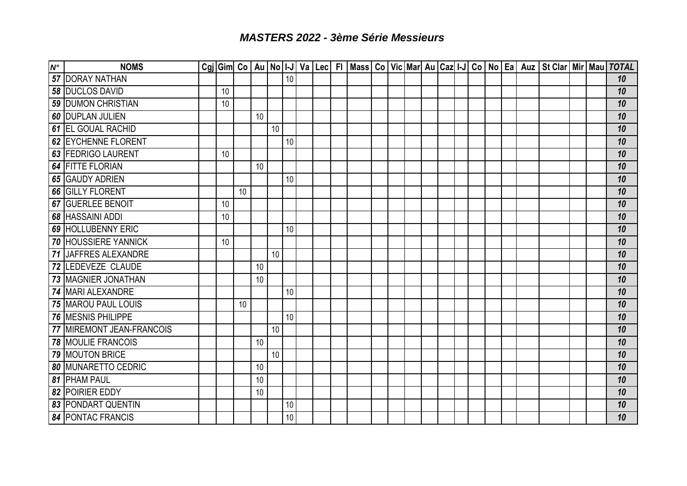## *MASTERS 2022 - 3ème Série Messieurs*

| $N^{\circ}$ | <b>NOMS</b>                 |    |    |    |    |    |  |  |  |  |  |  |  | Cgj Gim Co   Au   No   I-J   Va   Lec   FI   Mass   Co   Vic   Mar   Au   Caz   I-J   Co   No   Ea   Auz   St Clar   Mir   Mau   TOTAL |  |    |
|-------------|-----------------------------|----|----|----|----|----|--|--|--|--|--|--|--|----------------------------------------------------------------------------------------------------------------------------------------|--|----|
|             | 57 DORAY NATHAN             |    |    |    |    | 10 |  |  |  |  |  |  |  |                                                                                                                                        |  | 10 |
|             | <b>58 DUCLOS DAVID</b>      | 10 |    |    |    |    |  |  |  |  |  |  |  |                                                                                                                                        |  | 10 |
|             | 59 DUMON CHRISTIAN          | 10 |    |    |    |    |  |  |  |  |  |  |  |                                                                                                                                        |  | 10 |
|             | <b>60 DUPLAN JULIEN</b>     |    |    | 10 |    |    |  |  |  |  |  |  |  |                                                                                                                                        |  | 10 |
|             | <b>61 EL GOUAL RACHID</b>   |    |    |    | 10 |    |  |  |  |  |  |  |  |                                                                                                                                        |  | 10 |
|             | 62 EYCHENNE FLORENT         |    |    |    |    | 10 |  |  |  |  |  |  |  |                                                                                                                                        |  | 10 |
|             | 63 FEDRIGO LAURENT          | 10 |    |    |    |    |  |  |  |  |  |  |  |                                                                                                                                        |  | 10 |
|             | <b>64 FITTE FLORIAN</b>     |    |    | 10 |    |    |  |  |  |  |  |  |  |                                                                                                                                        |  | 10 |
|             | 65 GAUDY ADRIEN             |    |    |    |    | 10 |  |  |  |  |  |  |  |                                                                                                                                        |  | 10 |
|             | 66 GILLY FLORENT            |    | 10 |    |    |    |  |  |  |  |  |  |  |                                                                                                                                        |  | 10 |
|             | <b>67 GUERLEE BENOIT</b>    | 10 |    |    |    |    |  |  |  |  |  |  |  |                                                                                                                                        |  | 10 |
|             | <b>68 HASSAINI ADDI</b>     | 10 |    |    |    |    |  |  |  |  |  |  |  |                                                                                                                                        |  | 10 |
|             | 69 HOLLUBENNY ERIC          |    |    |    |    | 10 |  |  |  |  |  |  |  |                                                                                                                                        |  | 10 |
|             | <b>70 HOUSSIERE YANNICK</b> | 10 |    |    |    |    |  |  |  |  |  |  |  |                                                                                                                                        |  | 10 |
|             | 71 JAFFRES ALEXANDRE        |    |    |    | 10 |    |  |  |  |  |  |  |  |                                                                                                                                        |  | 10 |
|             | 72 LEDEVEZE CLAUDE          |    |    | 10 |    |    |  |  |  |  |  |  |  |                                                                                                                                        |  | 10 |
|             | 73 MAGNIER JONATHAN         |    |    | 10 |    |    |  |  |  |  |  |  |  |                                                                                                                                        |  | 10 |
|             | 74 MARI ALEXANDRE           |    |    |    |    | 10 |  |  |  |  |  |  |  |                                                                                                                                        |  | 10 |
|             | 75 MAROU PAUL LOUIS         |    | 10 |    |    |    |  |  |  |  |  |  |  |                                                                                                                                        |  | 10 |
|             | 76 MESNIS PHILIPPE          |    |    |    |    | 10 |  |  |  |  |  |  |  |                                                                                                                                        |  | 10 |
|             | 77 MIREMONT JEAN-FRANCOIS   |    |    |    | 10 |    |  |  |  |  |  |  |  |                                                                                                                                        |  | 10 |
|             | 78 MOULIE FRANCOIS          |    |    | 10 |    |    |  |  |  |  |  |  |  |                                                                                                                                        |  | 10 |
|             | 79 MOUTON BRICE             |    |    |    | 10 |    |  |  |  |  |  |  |  |                                                                                                                                        |  | 10 |
|             | <b>80 MUNARETTO CEDRIC</b>  |    |    | 10 |    |    |  |  |  |  |  |  |  |                                                                                                                                        |  | 10 |
|             | 81 PHAM PAUL                |    |    | 10 |    |    |  |  |  |  |  |  |  |                                                                                                                                        |  | 10 |
|             | 82 POIRIER EDDY             |    |    | 10 |    |    |  |  |  |  |  |  |  |                                                                                                                                        |  | 10 |
|             | 83 PONDART QUENTIN          |    |    |    |    | 10 |  |  |  |  |  |  |  |                                                                                                                                        |  | 10 |
|             | <b>84 PONTAC FRANCIS</b>    |    |    |    |    | 10 |  |  |  |  |  |  |  |                                                                                                                                        |  | 10 |